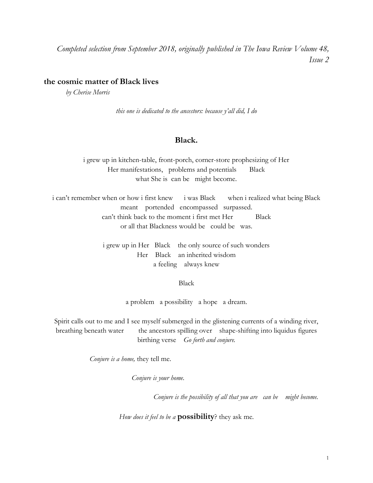*Completed selection from September 2018, originally published in The Iowa Review Volume 48, Issue 2*

# **the cosmic matter of Black lives**

*by Cherise Morris*

*this one is dedicated to the ancestors: because y'all did, I do*

## **Black.**

i grew up in kitchen-table, front-porch, corner-store prophesizing of Her Her manifestations, problems and potentials Black what She is can be might become.

i can't remember when or how i first knew i was Black when i realized what being Black meant portended encompassed surpassed. can't think back to the moment i first met Her Black or all that Blackness would be could be was.

> i grew up in Her Black the only source of such wonders Her Black an inherited wisdom a feeling always knew

#### Black

a problem a possibility a hope a dream.

Spirit calls out to me and I see myself submerged in the glistening currents of a winding river, breathing beneath water the ancestors spilling over shape-shifting into liquidus figures birthing verse *Go forth and conjure.*

 *Conjure is a home,* they tell me.

*Conjure is your home.*

*Conjure is the possibility of all that you are can be might become.* 

*How does it feel to be a* **possibility**? they ask me.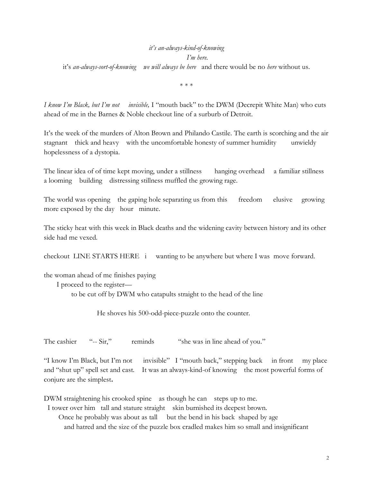# *it's an-always-kind-of-knowing*

*I'm here.*

it's *an-always-sort-of-knowing we will always be here* and there would be no *here* without us.

\* \* \*

*I know I'm Black, but I'm not invisible,* I "mouth back" to the DWM (Decrepit White Man) who cuts ahead of me in the Barnes & Noble checkout line of a surburb of Detroit.

It's the week of the murders of Alton Brown and Philando Castile. The earth is scorching and the air stagnant thick and heavy with the uncomfortable honesty of summer humidity unwieldy hopelessness of a dystopia.

The linear idea of of time kept moving, under a stillness hanging overhead a familiar stillness a looming building distressing stillness muffled the growing rage.

The world was opening the gaping hole separating us from this freedom elusive growing more exposed by the day hour minute.

The sticky heat with this week in Black deaths and the widening cavity between history and its other side had me vexed.

checkout LINE STARTS HERE i wanting to be anywhere but where I was move forward.

the woman ahead of me finishes paying

I proceed to the register—

to be cut off by DWM who catapults straight to the head of the line

He shoves his 500-odd-piece-puzzle onto the counter.

The cashier "-- Sir," reminds "she was in line ahead of you."

"I know I'm Black, but I'm not invisible" I "mouth back," stepping back in front my place and "shut up" spell set and cast. It was an always-kind-of knowing the most powerful forms of conjure are the simplest**.** 

DWM straightening his crooked spine as though he can steps up to me.

I tower over him tall and stature straight skin burnished its deepest brown.

Once he probably was about as tall but the bend in his back shaped by age

and hatred and the size of the puzzle box cradled makes him so small and insignificant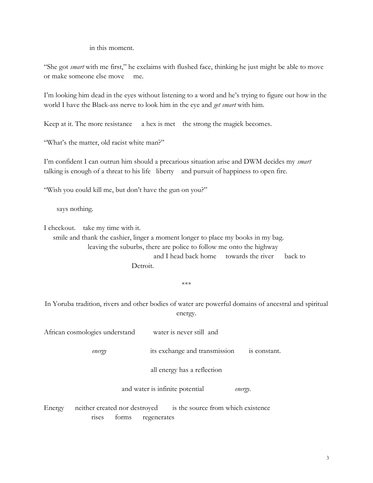in this moment.

"She got *smart* with me first," he exclaims with flushed face, thinking he just might be able to move or make someone else move me.

I'm looking him dead in the eyes without listening to a word and he's trying to figure out how in the world I have the Black-ass nerve to look him in the eye and *get smart* with him.

Keep at it. The more resistance a hex is met the strong the magick becomes.

"What's the matter, old racist white man?"

I'm confident I can outrun him should a precarious situation arise and DWM decides my *smart*  talking is enough of a threat to his life liberty and pursuit of happiness to open fire.

"Wish you could kill me, but don't have the gun on you?"

says nothing.

I checkout. take my time with it.

 smile and thank the cashier, linger a moment longer to place my books in my bag. leaving the suburbs, there are police to follow me onto the highway and I head back home towards the river back to Detroit.

\*\*\*

In Yoruba tradition, rivers and other bodies of water are powerful domains of ancestral and spiritual energy.

|        | African cosmologies understand                                                                       | water is never still and                      |  |
|--------|------------------------------------------------------------------------------------------------------|-----------------------------------------------|--|
|        | energy                                                                                               | its exchange and transmission<br>is constant. |  |
|        |                                                                                                      | all energy has a reflection                   |  |
|        | and water is infinite potential<br>energy.                                                           |                                               |  |
| Energy | is the source from which existence<br>neither created nor destroyed<br>forms<br>regenerates<br>rises |                                               |  |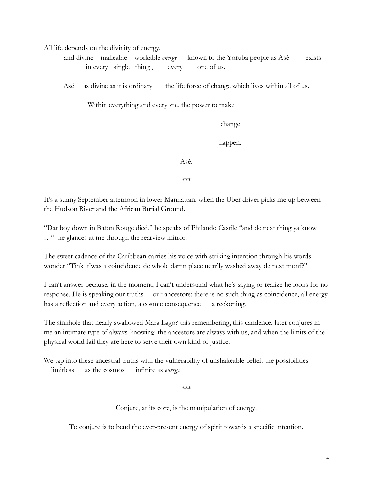All life depends on the divinity of energy,

 and divine malleable workable *energy* known to the Yoruba people as Asé exists in every single thing, every one of us.

Asé as divine as it is ordinary the life force of change which lives within all of us*.*

Within everything and everyone, the power to make

change

happen.

Asé.

\*\*\*

It's a sunny September afternoon in lower Manhattan, when the Uber driver picks me up between the Hudson River and the African Burial Ground.

"Dat boy down in Baton Rouge died," he speaks of Philando Castile "and de next thing ya know …" he glances at me through the rearview mirror.

The sweet cadence of the Caribbean carries his voice with striking intention through his words wonder "Tink it'was a coincidence de whole damn place near'ly washed away de next monf?"

I can't answer because, in the moment, I can't understand what he's saying or realize he looks for no response. He is speaking our truths our ancestors: there is no such thing as coincidence, all energy has a reflection and every action, a cosmic consequence a reckoning.

The sinkhole that nearly swallowed Mara Lago? this remembering, this candence, later conjures in me an intimate type of always-knowing: the ancestors are always with us, and when the limits of the physical world fail they are here to serve their own kind of justice.

We tap into these ancestral truths with the vulnerability of unshakeable belief. the possibilities limitless as the cosmos infinite as *energy.* 

\*\*\*

Conjure, at its core, is the manipulation of energy.

To conjure is to bend the ever-present energy of spirit towards a specific intention.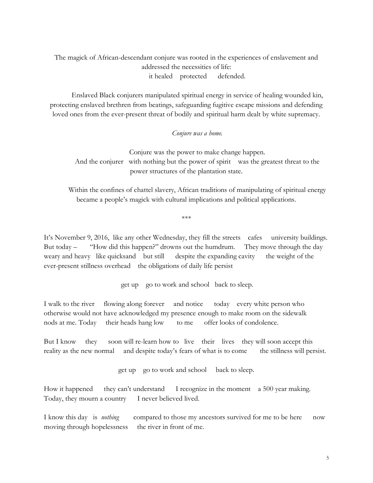The magick of African-descendant conjure was rooted in the experiences of enslavement and addressed the necessities of life: it healed protected defended.

Enslaved Black conjurers manipulated spiritual energy in service of healing wounded kin, protecting enslaved brethren from beatings, safeguarding fugitive escape missions and defending loved ones from the ever-present threat of bodily and spiritual harm dealt by white supremacy.

#### *Conjure was a home.*

Conjure was the power to make change happen. And the conjurer with nothing but the power of spirit was the greatest threat to the power structures of the plantation state.

Within the confines of chattel slavery, African traditions of manipulating of spiritual energy became a people's magick with cultural implications and political applications.

\*\*\*

It's November 9, 2016, like any other Wednesday, they fill the streets cafes university buildings. But today – "How did this happen?" drowns out the humdrum. They move through the day weary and heavy like quicksand but still despite the expanding cavity the weight of the ever-present stillness overhead the obligations of daily life persist

get up go to work and school back to sleep.

I walk to the river flowing along forever and notice today every white person who otherwise would not have acknowledged my presence enough to make room on the sidewalk nods at me. Today their heads hang low to me offer looks of condolence.

But I know they soon will re-learn how to live their lives they will soon accept this reality as the new normal and despite today's fears of what is to come the stillness will persist.

get up go to work and school back to sleep.

How it happened they can't understand I recognize in the moment a 500 year making. Today, they mourn a country I never believed lived.

I know this day is *nothing* compared to those my ancestors survived for me to be here now moving through hopelessness the river in front of me.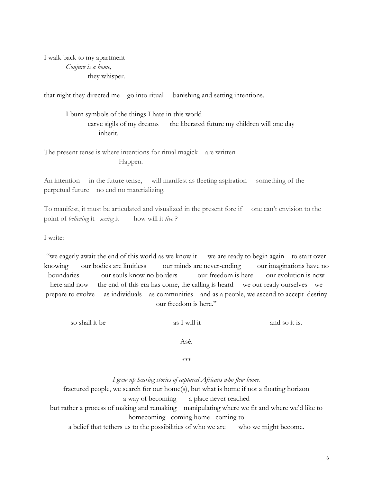I walk back to my apartment *Conjure is a home,* they whisper.

that night they directed me go into ritual banishing and setting intentions.

I burn symbols of the things I hate in this world carve sigils of my dreams the liberated future my children will one day inherit.

The present tense is where intentions for ritual magick are written Happen.

An intention in the future tense, will manifest as fleeting aspiration something of the perpetual future no end no materializing.

To manifest, it must be articulated and visualized in the present fore if one can't envision to the point of *believing* it *seeing* it how will it *live* ?

I write:

"we eagerly await the end of this world as we know it we are ready to begin again to start over knowing our bodies are limitless our minds are never-ending our imaginations have no boundaries our souls know no borders our freedom is here our evolution is now here and now the end of this era has come, the calling is heard we our ready ourselves we prepare to evolve as individuals as communities and as a people, we ascend to accept destiny our freedom is here."

so shall it be as I will it and so it is.

Asé.

\*\*\*

*I grew up hearing stories of captured Africans who flew home.*

fractured people, we search for our home(s), but what is home if not a floating horizon a way of becoming a place never reached but rather a process of making and remaking manipulating where we fit and where we'd like to homecoming coming home coming to

a belief that tethers us to the possibilities of who we are who we might become.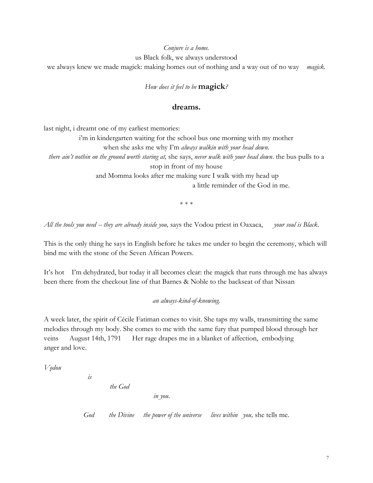#### *Conjure is a home.*

us Black folk, we always understood

we always knew we made magick: making homes out of nothing and a way out of no way *magick.*

*How does it feel to be* **magick***?* 

## **dreams.**

last night, i dreamt one of my earliest memories:

i'm in kindergarten waiting for the school bus one morning with my mother when she asks me why I'm *always walkin with your head down. there ain't nothin on the ground worth staring at,* she says, *never walk with your head down*. the bus pulls to a stop in front of my house and Momma looks after me making sure I walk with my head up a little reminder of the God in me.

\* \* \*

*All the tools you need -- they are already inside you,* says the Vodou priest in Oaxaca, *your soul is Black*.

This is the only thing he says in English before he takes me under to begin the ceremony, which will bind me with the stone of the Seven African Powers.

It's hot I'm dehydrated, but today it all becomes clear: the magick that runs through me has always been there from the checkout line of that Barnes & Noble to the backseat of that Nissan

## *an always-kind-of-knowing.*

A week later, the spirit of Cécile Fatiman comes to visit. She taps my walls, transmitting the same melodies through my body. She comes to me with the same fury that pumped blood through her veins August 14th, 1791 Her rage drapes me in a blanket of affection, embodying anger and love.

*Vo͎dou* 

*the God* 

*is*

*in you.*

*God the Divine the power of the universe lives within you,* she tells me.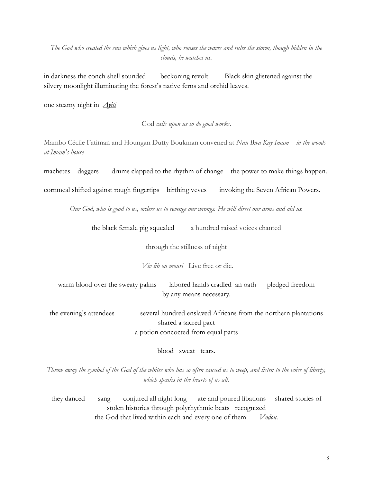*The God who created the sun which gives us light, who rouses the waves and rules the storm, though hidden in the clouds, he watches us.* 

in darkness the conch shell sounded beckoning revolt Black skin glistened against the silvery moonlight illuminating the forest's native ferns and orchid leaves.

one steamy night in *[Ayiti](http://www.ayiti.com/)*

God *calls upon us to do good works.*

Mambo Cécile Fatiman and Houngan Dutty Boukman convened at *Nan Bwa Kay Imam in the woods at Imam's house*

machetes daggers drums clapped to the rhythm of change the power to make things happen.

cornmeal shifted against rough fingertips birthing veves invoking the Seven African Powers.

*Our God, who is good to us, orders us to revenge our wrongs. He will direct our arms and aid us.* 

the black female pig squealed a hundred raised voices chanted

through the stillness of night

*Viv lib ou mouri* Live free or die.

warm blood over the sweaty palms labored hands cradled an oath pledged freedom by any means necessary.

the evening's attendees several hundred enslaved Africans from the northern plantations shared a sacred pact a potion concocted from equal parts

blood sweat tears.

*Throw away the symbol of the God of the whites who has so often caused us to weep, and listen to the voice of liberty, which speaks in the hearts of us all.*

they danced sang conjured all night long ate and poured libations shared stories of stolen histories through polyrhythmic beats recognized the God that lived within each and every one of them *Vodou*.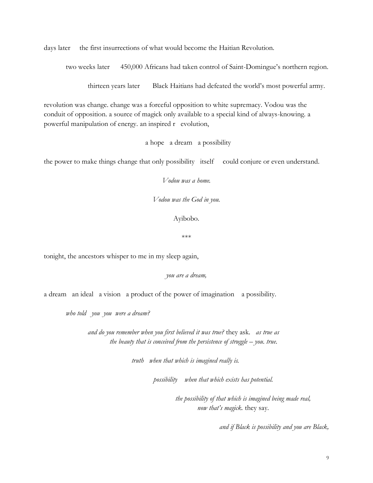days later the first insurrections of what would become the Haitian Revolution.

two weeks later 450,000 Africans had taken control of Saint-Domingue's northern region.

thirteen years later Black Haitians had defeated the world's most powerful army.

revolution was change. change was a forceful opposition to white supremacy. Vodou was the conduit of opposition. a source of magick only available to a special kind of always-knowing. a powerful manipulation of energy. an inspired r evolution,

a hope a dream a possibility

the power to make things change that only possibility itself could conjure or even understand.

*Vodou was a home.*

*Vodou was the God in you.*

Ayibobo.

\*\*\*

tonight, the ancestors whisper to me in my sleep again,

*you are a dream,* 

a dream an ideal a vision a product of the power of imagination a possibility.

*who told you you were a dream?*

*and do you remember when you first believed it was true?* they ask*. as true as the beauty that is conceived from the persistence of struggle – you. true.* 

*truth when that which is imagined really is.*

*possibility when that which exists has potential.*

*the possibility of that which is imagined being made real, now that's magick.* they say.

*and if Black is possibility and you are Black,*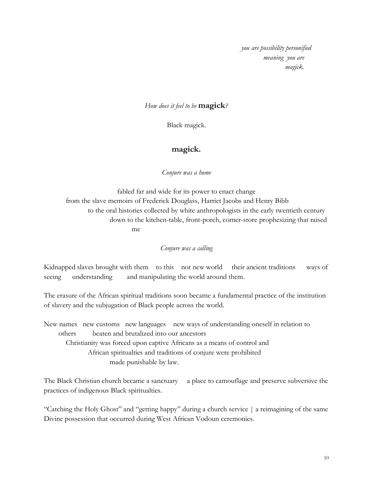*you are possibility personified meaning you are magick.*

## *How does it feel to be* **magick***?*

Black magick.

# **magick.**

*Conjure was a home*

fabled far and wide for its power to enact change from the slave memoirs of Frederick Douglass, Harriet Jacobs and Henry Bibb to the oral histories collected by white anthropologists in the early twentieth century down to the kitchen-table, front-porch, corner-store prophesizing that raised me

*Conjure was a calling*

Kidnapped slaves brought with them to this not new world their ancient traditions ways of seeing understanding and manipulating the world around them.

The erasure of the African spiritual traditions soon became a fundamental practice of the institution of slavery and the subjugation of Black people across the world.

New names new customs new languages new ways of understanding oneself in relation to others beaten and brutalized into our ancestors Christianity was forced upon captive Africans as a means of control and African spiritualties and traditions of conjure were prohibited made punishable by law.

The Black Christian church became a sanctuary a place to camouflage and preserve subversive the practices of indigenous Black spiritualties.

"Catching the Holy Ghost" and "getting happy" during a church service | a reimagining of the same Divine possession that occurred during West African Vodoun ceremonies.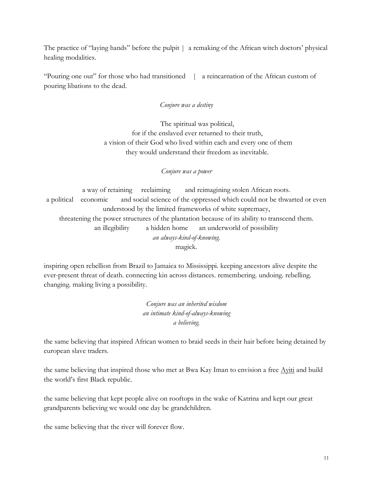The practice of "laying hands" before the pulpit | a remaking of the African witch doctors' physical healing modalities.

"Pouring one out" for those who had transitioned | a reincarnation of the African custom of pouring libations to the dead.

# *Conjure was a destiny*

The spiritual was political, for if the enslaved ever returned to their truth, a vision of their God who lived within each and every one of them they would understand their freedom as inevitable.

*Conjure was a power*

a way of retaining reclaiming and reimagining stolen African roots. a political economic and social science of the oppressed which could not be thwarted or even understood by the limited frameworks of white supremacy, threatening the power structures of the plantation because of its ability to transcend them. an illegibility a hidden home an underworld of possibility *an always-kind-of-knowing.* magick.

inspiring open rebellion from Brazil to Jamaica to Mississippi. keeping ancestors alive despite the ever-present threat of death. connecting kin across distances. remembering. undoing. rebelling. changing. making living a possibility.

> *Conjure was an inherited wisdom an intimate kind-of-always-knowing a believing.*

the same believing that inspired African women to braid seeds in their hair before being detained by european slave traders.

the same believing that inspired those who met at Bwa Kay Iman to envision a free [Ayiti](http://www.ayiti.com/) and build the world's first Black republic.

the same believing that kept people alive on rooftops in the wake of Katrina and kept our great grandparents believing we would one day be grandchildren.

the same believing that the river will forever flow.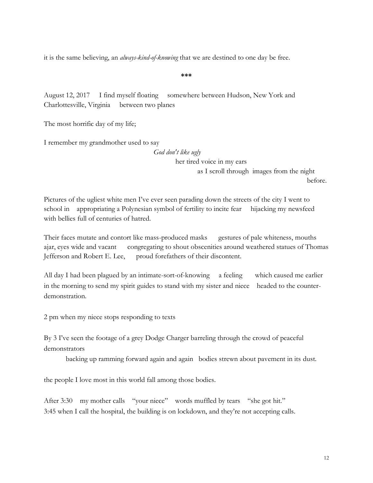it is the same believing, an *always-kind-of-knowing* that we are destined to one day be free.

**\*\*\***

August 12, 2017 I find myself floating somewhere between Hudson, New York and Charlottesville, Virginia between two planes

The most horrific day of my life;

I remember my grandmother used to say

*God don't like ugly* her tired voice in my ears as I scroll through images from the night before.

Pictures of the ugliest white men I've ever seen parading down the streets of the city I went to school in appropriating a Polynesian symbol of fertility to incite fear hijacking my newsfeed with bellies full of centuries of hatred.

Their faces mutate and contort like mass-produced masks gestures of pale whiteness, mouths ajar, eyes wide and vacant congregating to shout obscenities around weathered statues of Thomas Jefferson and Robert E. Lee, proud forefathers of their discontent.

All day I had been plagued by an intimate-sort-of-knowing a feeling which caused me earlier in the morning to send my spirit guides to stand with my sister and niece headed to the counterdemonstration.

2 pm when my niece stops responding to texts

By 3 I've seen the footage of a grey Dodge Charger barreling through the crowd of peaceful demonstrators

backing up ramming forward again and again bodies strewn about pavement in its dust.

the people I love most in this world fall among those bodies.

After 3:30 my mother calls "your niece" words muffled by tears "she got hit." 3:45 when I call the hospital, the building is on lockdown, and they're not accepting calls.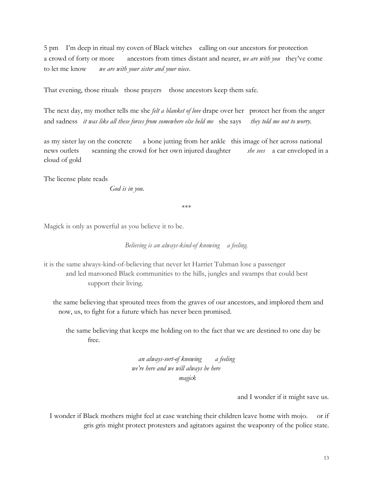5 pm I'm deep in ritual my coven of Black witches calling on our ancestors for protection a crowd of forty or more ancestors from times distant and nearer, *we are with you* they've come to let me know *we are with your sister and your niece*.

That evening, those rituals those prayers those ancestors keep them safe.

The next day, my mother tells me she *felt a blanket of love* drape over her protect her from the anger and sadness *it was like all these forces from somewhere else held me* she says *they told me not to worry.* 

as my sister lay on the concrete a bone jutting from her ankle this image of her across national news outlets scanning the crowd for her own injured daughter *she sees* a car enveloped in a cloud of gold

The license plate reads

*God is in you*.

\*\*\*

Magick is only as powerful as you believe it to be.

#### *Believing is an always-kind-of knowing a feeling.*

it is the same always-kind-of-believing that never let Harriet Tubman lose a passenger and led marooned Black communities to the hills, jungles and swamps that could best support their living.

 the same believing that sprouted trees from the graves of our ancestors, and implored them and now, us, to fight for a future which has never been promised.

the same believing that keeps me holding on to the fact that we are destined to one day be free.

> *an always-sort-of knowing a feeling we're here and we will always be here magick*

> > and I wonder if it might save us.

I wonder if Black mothers might feel at ease watching their children leave home with mojo. or if gris gris might protect protesters and agitators against the weaponry of the police state.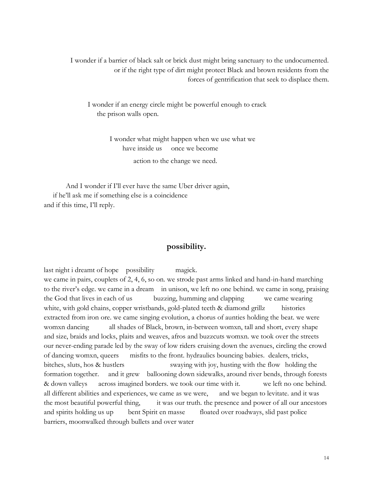I wonder if a barrier of black salt or brick dust might bring sanctuary to the undocumented. or if the right type of dirt might protect Black and brown residents from the forces of gentrification that seek to displace them.

I wonder if an energy circle might be powerful enough to crack the prison walls open.

> I wonder what might happen when we use what we have inside us once we become

> > action to the change we need.

And I wonder if I'll ever have the same Uber driver again, if he'll ask me if something else is a coincidence and if this time, I'll reply.

## **possibility.**

last night i dreamt of hope possibility magick. we came in pairs, couplets of 2, 4, 6, so on. we strode past arms linked and hand-in-hand marching to the river's edge. we came in a dream in unison, we left no one behind. we came in song, praising the God that lives in each of us buzzing, humming and clapping we came wearing white, with gold chains, copper wristbands, gold-plated teeth & diamond grillz histories extracted from iron ore. we came singing evolution, a chorus of aunties holding the beat. we were womxn dancing all shades of Black, brown, in-between womxn, tall and short, every shape and size, braids and locks, plaits and weaves, afros and buzzcuts womxn. we took over the streets our never-ending parade led by the sway of low riders cruising down the avenues, circling the crowd of dancing womxn, queers misfits to the front. hydraulics bouncing babies. dealers, tricks, bitches, sluts, hos & hustlers swaying with joy, husting with the flow holding the formation together. and it grew ballooning down sidewalks, around river bends, through forests & down valleys across imagined borders. we took our time with it. we left no one behind. all different abilities and experiences, we came as we were, and we began to levitate. and it was the most beautiful powerful thing, it was our truth. the presence and power of all our ancestors and spirits holding us up bent Spirit en masse floated over roadways, slid past police barriers, moonwalked through bullets and over water